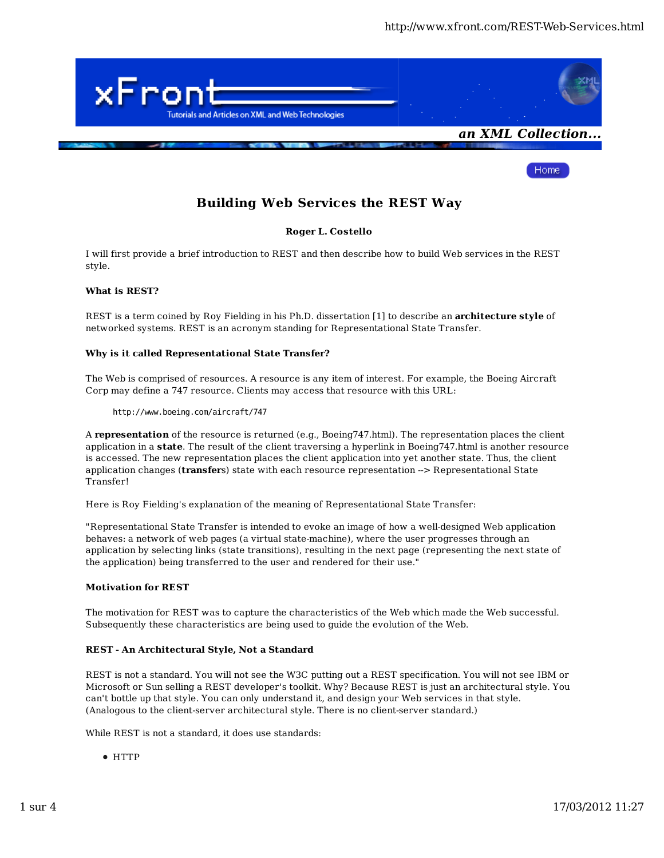Home:



**Building Web Services the REST Way**

# **Roger L. Costello**

I will first provide a brief introduction to REST and then describe how to build Web services in the REST style.

# **What is REST?**

REST is a term coined by Roy Fielding in his Ph.D. dissertation [1] to describe an **architecture style** of networked systems. REST is an acronym standing for Representational State Transfer.

# **Why is it called Representational State Transfer?**

The Web is comprised of resources. A resource is any item of interest. For example, the Boeing Aircraft Corp may define a 747 resource. Clients may access that resource with this URL:

http://www.boeing.com/aircraft/747

A **representation** of the resource is returned (e.g., Boeing747.html). The representation places the client application in a **state**. The result of the client traversing a hyperlink in Boeing747.html is another resource is accessed. The new representation places the client application into yet another state. Thus, the client application changes (**transfer**s) state with each resource representation -> Representational State Transfer!

Here is Roy Fielding's explanation of the meaning of Representational State Transfer:

"Representational State Transfer is intended to evoke an image of how a well-designed Web application behaves: a network of web pages (a virtual state-machine), where the user progresses through an application by selecting links (state transitions), resulting in the next page (representing the next state of the application) being transferred to the user and rendered for their use."

# **Motivation for REST**

The motivation for REST was to capture the characteristics of the Web which made the Web successful. Subsequently these characteristics are being used to guide the evolution of the Web.

# **REST - An Architectural Style, Not a Standard**

REST is not a standard. You will not see the W3C putting out a REST specification. You will not see IBM or Microsoft or Sun selling a REST developer's toolkit. Why? Because REST is just an architectural style. You can't bottle up that style. You can only understand it, and design your Web services in that style. (Analogous to the client-server architectural style. There is no client-server standard.)

While REST is not a standard, it does use standards:

HTTP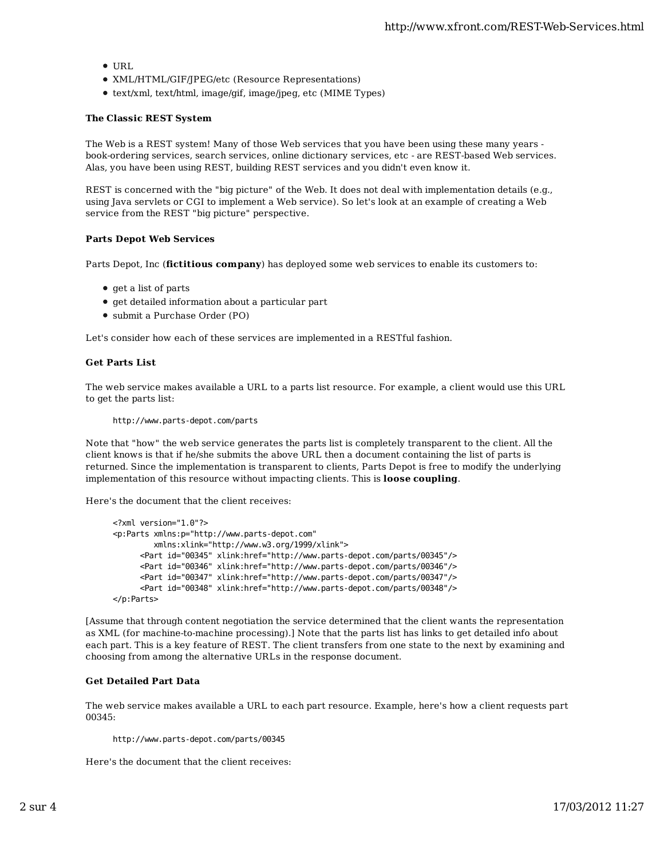- URL
- XML/HTML/GIF/JPEG/etc (Resource Representations)
- text/xml, text/html, image/gif, image/jpeg, etc (MIME Types)

#### **The Classic REST System**

The Web is a REST system! Many of those Web services that you have been using these many years book-ordering services, search services, online dictionary services, etc - are REST-based Web services. Alas, you have been using REST, building REST services and you didn't even know it.

REST is concerned with the "big picture" of the Web. It does not deal with implementation details (e.g., using Java servlets or CGI to implement a Web service). So let's look at an example of creating a Web service from the REST "big picture" perspective.

#### **Parts Depot Web Services**

Parts Depot, Inc (**fictitious company**) has deployed some web services to enable its customers to:

- get a list of parts
- get detailed information about a particular part
- submit a Purchase Order (PO)

Let's consider how each of these services are implemented in a RESTful fashion.

#### **Get Parts List**

The web service makes available a URL to a parts list resource. For example, a client would use this URL to get the parts list:

http://www.parts-depot.com/parts

Note that "how" the web service generates the parts list is completely transparent to the client. All the client knows is that if he/she submits the above URL then a document containing the list of parts is returned. Since the implementation is transparent to clients, Parts Depot is free to modify the underlying implementation of this resource without impacting clients. This is **loose coupling**.

Here's the document that the client receives:

```
<?xml version="1.0"?>
<p:Parts xmlns:p="http://www.parts-depot.com" 
          xmlns:xlink="http://www.w3.org/1999/xlink">
       <Part id="00345" xlink:href="http://www.parts-depot.com/parts/00345"/>
       <Part id="00346" xlink:href="http://www.parts-depot.com/parts/00346"/>
       <Part id="00347" xlink:href="http://www.parts-depot.com/parts/00347"/>
       <Part id="00348" xlink:href="http://www.parts-depot.com/parts/00348"/>
</p:Parts>
```
[Assume that through content negotiation the service determined that the client wants the representation as XML (for machine-to-machine processing).] Note that the parts list has links to get detailed info about each part. This is a key feature of REST. The client transfers from one state to the next by examining and choosing from among the alternative URLs in the response document.

## **Get Detailed Part Data**

The web service makes available a URL to each part resource. Example, here's how a client requests part 00345:

http://www.parts-depot.com/parts/00345

Here's the document that the client receives: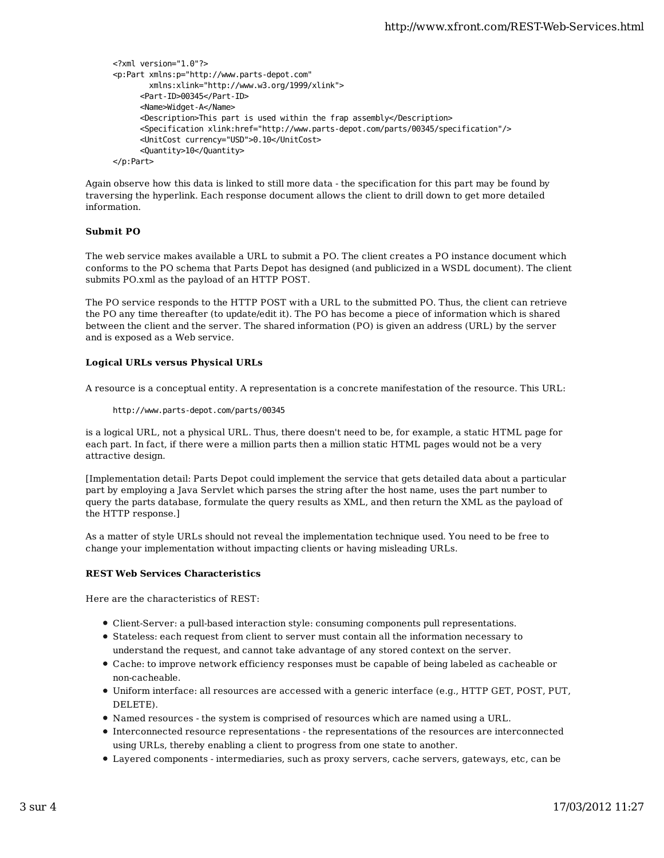```
<?xml version="1.0"?>
<p:Part xmlns:p="http://www.parts-depot.com" 
         xmlns:xlink="http://www.w3.org/1999/xlink">
       <Part-ID>00345</Part-ID>
      <Name>Widget-A</Name>
      <Description>This part is used within the frap assembly</Description>
      <Specification xlink:href="http://www.parts-depot.com/parts/00345/specification"/>
      <UnitCost currency="USD">0.10</UnitCost>
      <Quantity>10</Quantity>
</p:Part>
```
Again observe how this data is linked to still more data - the specification for this part may be found by traversing the hyperlink. Each response document allows the client to drill down to get more detailed information.

# **Submit PO**

The web service makes available a URL to submit a PO. The client creates a PO instance document which conforms to the PO schema that Parts Depot has designed (and publicized in a WSDL document). The client submits PO.xml as the payload of an HTTP POST.

The PO service responds to the HTTP POST with a URL to the submitted PO. Thus, the client can retrieve the PO any time thereafter (to update/edit it). The PO has become a piece of information which is shared between the client and the server. The shared information (PO) is given an address (URL) by the server and is exposed as a Web service.

#### **Logical URLs versus Physical URLs**

A resource is a conceptual entity. A representation is a concrete manifestation of the resource. This URL:

#### http://www.parts-depot.com/parts/00345

is a logical URL, not a physical URL. Thus, there doesn't need to be, for example, a static HTML page for each part. In fact, if there were a million parts then a million static HTML pages would not be a very attractive design.

[Implementation detail: Parts Depot could implement the service that gets detailed data about a particular part by employing a Java Servlet which parses the string after the host name, uses the part number to query the parts database, formulate the query results as XML, and then return the XML as the payload of the HTTP response.]

As a matter of style URLs should not reveal the implementation technique used. You need to be free to change your implementation without impacting clients or having misleading URLs.

## **REST Web Services Characteristics**

Here are the characteristics of REST:

- Client-Server: a pull-based interaction style: consuming components pull representations.
- Stateless: each request from client to server must contain all the information necessary to understand the request, and cannot take advantage of any stored context on the server.
- Cache: to improve network efficiency responses must be capable of being labeled as cacheable or non-cacheable.
- Uniform interface: all resources are accessed with a generic interface (e.g., HTTP GET, POST, PUT, DELETE).
- Named resources the system is comprised of resources which are named using a URL.
- Interconnected resource representations the representations of the resources are interconnected using URLs, thereby enabling a client to progress from one state to another.
- Layered components intermediaries, such as proxy servers, cache servers, gateways, etc, can be